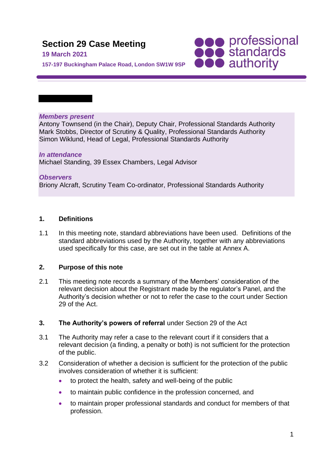# **Section 29 Case Meeting**

#### **19 March 2021**

**SOO professional**<br> **SOO standards**<br> **OOO** authority

**157-197 Buckingham Palace Road, London SW1W 9SP**

#### *Members present*

Antony Townsend (in the Chair), Deputy Chair, Professional Standards Authority Mark Stobbs, Director of Scrutiny & Quality, Professional Standards Authority Simon Wiklund, Head of Legal, Professional Standards Authority

*In attendance* Michael Standing, 39 Essex Chambers, Legal Advisor

*Observers* Briony Alcraft, Scrutiny Team Co-ordinator, Professional Standards Authority

## **1. Definitions**

1.1 In this meeting note, standard abbreviations have been used. Definitions of the standard abbreviations used by the Authority, together with any abbreviations used specifically for this case, are set out in the table at Annex A.

## **2. Purpose of this note**

2.1 This meeting note records a summary of the Members' consideration of the relevant decision about the Registrant made by the regulator's Panel, and the Authority's decision whether or not to refer the case to the court under Section 29 of the Act.

## **3. The Authority's powers of referral** under Section 29 of the Act

- 3.1 The Authority may refer a case to the relevant court if it considers that a relevant decision (a finding, a penalty or both) is not sufficient for the protection of the public.
- 3.2 Consideration of whether a decision is sufficient for the protection of the public involves consideration of whether it is sufficient:
	- to protect the health, safety and well-being of the public
	- to maintain public confidence in the profession concerned, and
	- to maintain proper professional standards and conduct for members of that profession.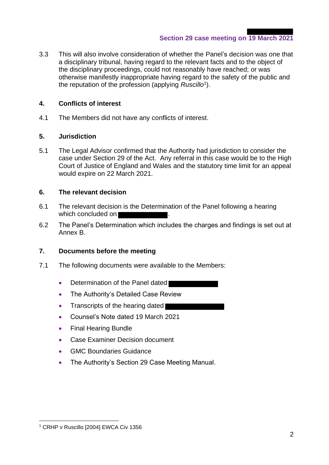3.3 This will also involve consideration of whether the Panel's decision was one that a disciplinary tribunal, having regard to the relevant facts and to the object of the disciplinary proceedings, could not reasonably have reached; or was otherwise manifestly inappropriate having regard to the safety of the public and the reputation of the profession (applying *Ruscillo*<sup>1</sup> ).

## **4. Conflicts of interest**

4.1 The Members did not have any conflicts of interest.

## **5. Jurisdiction**

5.1 The Legal Advisor confirmed that the Authority had jurisdiction to consider the case under Section 29 of the Act. Any referral in this case would be to the High Court of Justice of England and Wales and the statutory time limit for an appeal would expire on 22 March 2021.

## **6. The relevant decision**

- 6.1 The relevant decision is the Determination of the Panel following a hearing which concluded on
- 6.2 The Panel's Determination which includes the charges and findings is set out at Annex B.

## **7. Documents before the meeting**

- 7.1 The following documents were available to the Members:
	- Determination of the Panel dated
	- The Authority's Detailed Case Review
	- Transcripts of the hearing dated
	- Counsel's Note dated 19 March 2021
	- Final Hearing Bundle
	- Case Examiner Decision document
	- GMC Boundaries Guidance
	- The Authority's Section 29 Case Meeting Manual.

<sup>&</sup>lt;sup>1</sup> CRHP v Ruscillo [2004] EWCA Civ 1356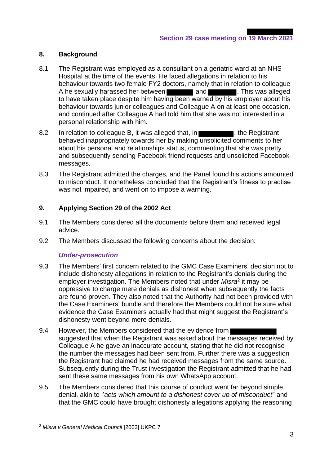## **8. Background**

- 8.1 The Registrant was employed as a consultant on a geriatric ward at an NHS Hospital at the time of the events. He faced allegations in relation to his behaviour towards two female FY2 doctors, namely that in relation to colleague A he sexually harassed her between **and and the sexually harassed her between** and  $\blacksquare$ . This was alleged to have taken place despite him having been warned by his employer about his behaviour towards junior colleagues and Colleague A on at least one occasion, and continued after Colleague A had told him that she was not interested in a personal relationship with him.
- 8.2 In relation to colleague B, it was alleged that, in **Figure 2015**, the Registrant behaved inappropriately towards her by making unsolicited comments to her about his personal and relationships status, commenting that she was pretty and subsequently sending Facebook friend requests and unsolicited Facebook messages.
- 8.3 The Registrant admitted the charges, and the Panel found his actions amounted to misconduct. It nonetheless concluded that the Registrant's fitness to practise was not impaired, and went on to impose a warning.

## **9. Applying Section 29 of the 2002 Act**

- 9.1 The Members considered all the documents before them and received legal advice.
- 9.2 The Members discussed the following concerns about the decision:

## *Under-prosecution*

- 9.3 The Members' first concern related to the GMC Case Examiners' decision not to include dishonesty allegations in relation to the Registrant's denials during the employer investigation. The Members noted that under *Misra*<sup>2</sup> it may be oppressive to charge mere denials as dishonest when subsequently the facts are found proven. They also noted that the Authority had not been provided with the Case Examiners' bundle and therefore the Members could not be sure what evidence the Case Examiners actually had that might suggest the Registrant's dishonesty went beyond mere denials.
- 9.4 However, the Members considered that the evidence from suggested that when the Registrant was asked about the messages received by Colleague A he gave an inaccurate account, stating that he did not recognise the number the messages had been sent from. Further there was a suggestion the Registrant had claimed he had received messages from the same source. Subsequently during the Trust investigation the Registrant admitted that he had sent these same messages from his own WhatsApp account.
- 9.5 The Members considered that this course of conduct went far beyond simple denial, akin to ''*acts which amount to a dishonest cover up of misconduct*" and that the GMC could have brought dishonesty allegations applying the reasoning

<sup>2</sup> *Misra v General Medical Council* [2003] UKPC 7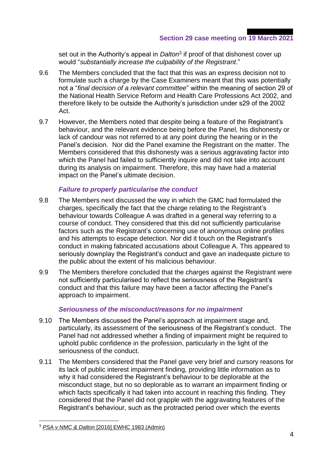set out in the Authority's appeal in *Dalton*<sup>3</sup> if proof of that dishonest cover up would "*substantially increase the culpability of the Registrant*."

- 9.6 The Members concluded that the fact that this was an express decision not to formulate such a charge by the Case Examiners meant that this was potentially not a "*final decision of a relevant committee*" within the meaning of section 29 of the National Health Service Reform and Health Care Professions Act 2002, and therefore likely to be outside the Authority's jurisdiction under s29 of the 2002 Act.
- 9.7 However, the Members noted that despite being a feature of the Registrant's behaviour, and the relevant evidence being before the Panel, his dishonesty or lack of candour was not referred to at any point during the hearing or in the Panel's decision. Nor did the Panel examine the Registrant on the matter. The Members considered that this dishonesty was a serious aggravating factor into which the Panel had failed to sufficiently inquire and did not take into account during its analysis on impairment. Therefore, this may have had a material impact on the Panel's ultimate decision.

## *Failure to properly particularise the conduct*

- 9.8 The Members next discussed the way in which the GMC had formulated the charges, specifically the fact that the charge relating to the Registrant's behaviour towards Colleague A was drafted in a general way referring to a course of conduct. They considered that this did not sufficiently particularise factors such as the Registrant's concerning use of anonymous online profiles and his attempts to escape detection. Nor did it touch on the Registrant's conduct in making fabricated accusations about Colleague A. This appeared to seriously downplay the Registrant's conduct and gave an inadequate picture to the public about the extent of his malicious behaviour.
- 9.9 The Members therefore concluded that the charges against the Registrant were not sufficiently particularised to reflect the seriousness of the Registrant's conduct and that this failure may have been a factor affecting the Panel's approach to impairment.

#### *Seriousness of the misconduct/reasons for no impairment*

- 9.10 The Members discussed the Panel's approach at impairment stage and, particularly, its assessment of the seriousness of the Registrant's conduct. The Panel had not addressed whether a finding of impairment might be required to uphold public confidence in the profession, particularly in the light of the seriousness of the conduct.
- 9.11 The Members considered that the Panel gave very brief and cursory reasons for its lack of public interest impairment finding, providing little information as to why it had considered the Registrant's behaviour to be deplorable at the misconduct stage, but no so deplorable as to warrant an impairment finding or which facts specifically it had taken into account in reaching this finding. They considered that the Panel did not grapple with the aggravating features of the Registrant's behaviour, such as the protracted period over which the events

<sup>3</sup> *PSA v NMC & Dalton* [2016] EWHC 1983 (Admin)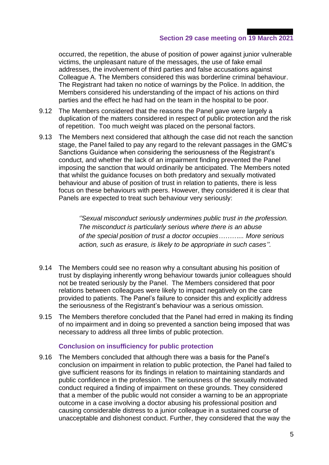## **Section 29 case meeting on 19 March 2021**

occurred, the repetition, the abuse of position of power against junior vulnerable victims, the unpleasant nature of the messages, the use of fake email addresses, the involvement of third parties and false accusations against Colleague A. The Members considered this was borderline criminal behaviour. The Registrant had taken no notice of warnings by the Police. In addition, the Members considered his understanding of the impact of his actions on third parties and the effect he had had on the team in the hospital to be poor.

- 9.12 The Members considered that the reasons the Panel gave were largely a duplication of the matters considered in respect of public protection and the risk of repetition. Too much weight was placed on the personal factors.
- 9.13 The Members next considered that although the case did not reach the sanction stage, the Panel failed to pay any regard to the relevant passages in the GMC's Sanctions Guidance when considering the seriousness of the Registrant's conduct, and whether the lack of an impairment finding prevented the Panel imposing the sanction that would ordinarily be anticipated. The Members noted that whilst the guidance focuses on both predatory and sexually motivated behaviour and abuse of position of trust in relation to patients, there is less focus on these behaviours with peers. However, they considered it is clear that Panels are expected to treat such behaviour very seriously:

*''Sexual misconduct seriously undermines public trust in the profession. The misconduct is particularly serious where there is an abuse of the special position of trust a doctor occupies………... More serious action, such as erasure, is likely to be appropriate in such cases''.*

- 9.14 The Members could see no reason why a consultant abusing his position of trust by displaying inherently wrong behaviour towards junior colleagues should not be treated seriously by the Panel. The Members considered that poor relations between colleagues were likely to impact negatively on the care provided to patients. The Panel's failure to consider this and explicitly address the seriousness of the Registrant's behaviour was a serious omission.
- 9.15 The Members therefore concluded that the Panel had erred in making its finding of no impairment and in doing so prevented a sanction being imposed that was necessary to address all three limbs of public protection.

#### **Conclusion on insufficiency for public protection**

9.16 The Members concluded that although there was a basis for the Panel's conclusion on impairment in relation to public protection, the Panel had failed to give sufficient reasons for its findings in relation to maintaining standards and public confidence in the profession. The seriousness of the sexually motivated conduct required a finding of impairment on these grounds. They considered that a member of the public would not consider a warning to be an appropriate outcome in a case involving a doctor abusing his professional position and causing considerable distress to a junior colleague in a sustained course of unacceptable and dishonest conduct. Further, they considered that the way the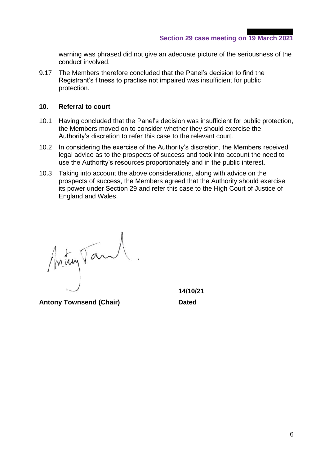warning was phrased did not give an adequate picture of the seriousness of the conduct involved.

9.17 The Members therefore concluded that the Panel's decision to find the Registrant's fitness to practise not impaired was insufficient for public protection.

#### **10. Referral to court**

- 10.1 Having concluded that the Panel's decision was insufficient for public protection, the Members moved on to consider whether they should exercise the Authority's discretion to refer this case to the relevant court.
- 10.2 In considering the exercise of the Authority's discretion, the Members received legal advice as to the prospects of success and took into account the need to use the Authority's resources proportionately and in the public interest.
- 10.3 Taking into account the above considerations, along with advice on the prospects of success, the Members agreed that the Authority should exercise its power under Section 29 and refer this case to the High Court of Justice of England and Wales.

Interprent.

**Antony Townsend (Chair) Dated**

**14/10/21**